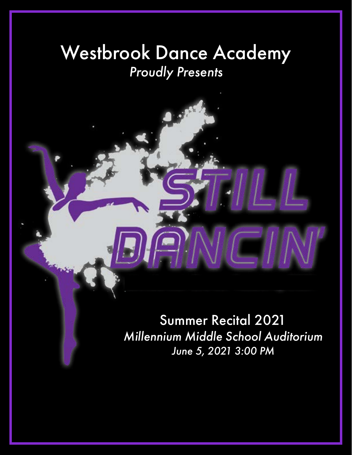# Westbrook Dance Academy *Proudly Presents*

Summer Recital 2021 *Millennium Middle School Auditorium June 5, 2021 3:00 PM*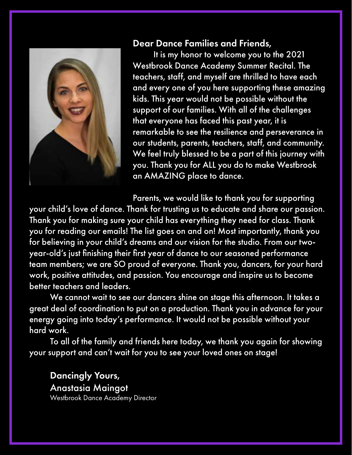

#### Dear Dance Families and Friends,

It is my honor to welcome you to the 2021 Westbrook Dance Academy Summer Recital. The teachers, staff, and myself are thrilled to have each and every one of you here supporting these amazing kids. This year would not be possible without the support of our families. With all of the challenges that everyone has faced this past year, it is remarkable to see the resilience and perseverance in our students, parents, teachers, staff, and community. We feel truly blessed to be a part of this journey with you. Thank you for ALL you do to make Westbrook an AMAZING place to dance.

Parents, we would like to thank you for supporting your child's love of dance. Thank for trusting us to educate and share our passion. Thank you for making sure your child has everything they need for class. Thank you for reading our emails! The list goes on and on! Most importantly, thank you for believing in your child's dreams and our vision for the studio. From our twoyear-old's just finishing their first year of dance to our seasoned performance team members; we are SO proud of everyone. Thank you, dancers, for your hard work, positive attitudes, and passion. You encourage and inspire us to become better teachers and leaders.

We cannot wait to see our dancers shine on stage this afternoon. It takes a great deal of coordination to put on a production. Thank you in advance for your energy going into today's performance. It would not be possible without your hard work.

To all of the family and friends here today, we thank you again for showing your support and can't wait for you to see your loved ones on stage!

Dancingly Yours, Anastasia Maingot Westbrook Dance Academy Director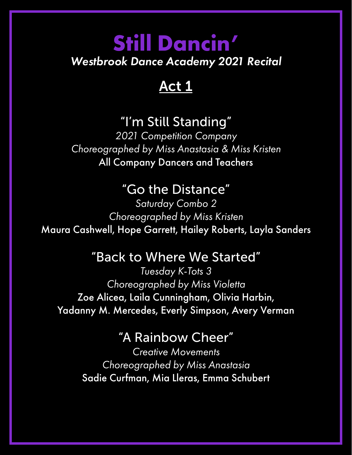# **Still Dancin'** *Westbrook Dance Academy 2021 Recital*

# Act 1

# "I'm Still Standing"

*2021 Competition Company Choreographed by Miss Anastasia & Miss Kristen* All Company Dancers and Teachers

### "Go the Distance"

*Saturday Combo 2 Choreographed by Miss Kristen* Maura Cashwell, Hope Garrett, Hailey Roberts, Layla Sanders

### "Back to Where We Started"

*Tuesday K-Tots 3 Choreographed by Miss Violetta* Zoe Alicea, Laila Cunningham, Olivia Harbin, Yadanny M. Mercedes, Everly Simpson, Avery Verman

### "A Rainbow Cheer"

*Creative Movements Choreographed by Miss Anastasia* Sadie Curfman, Mia Lleras, Emma Schubert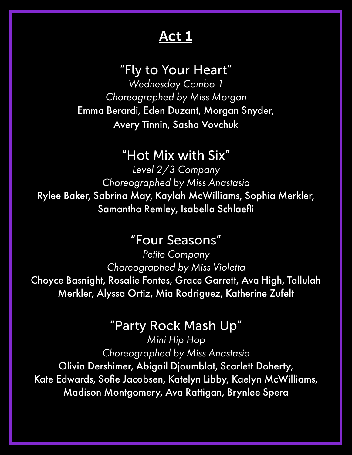### "Fly to Your Heart"

*Wednesday Combo 1 Choreographed by Miss Morgan* Emma Berardi, Eden Duzant, Morgan Snyder, Avery Tinnin, Sasha Vovchuk

### "Hot Mix with Six"

*Level 2/3 Company Choreographed by Miss Anastasia* Rylee Baker, Sabrina May, Kaylah McWilliams, Sophia Merkler, Samantha Remley, Isabella Schlaefli

### "Four Seasons"

*Petite Company Choreographed by Miss Violetta* Choyce Basnight, Rosalie Fontes, Grace Garrett, Ava High, Tallulah Merkler, Alyssa Ortiz, Mia Rodriguez, Katherine Zufelt

### "Party Rock Mash Up"

*Mini Hip Hop Choreographed by Miss Anastasia* Olivia Dershimer, Abigail Djoumblat, Scarlett Doherty, Kate Edwards, Sofie Jacobsen, Katelyn Libby, Kaelyn McWilliams, Madison Montgomery, Ava Rattigan, Brynlee Spera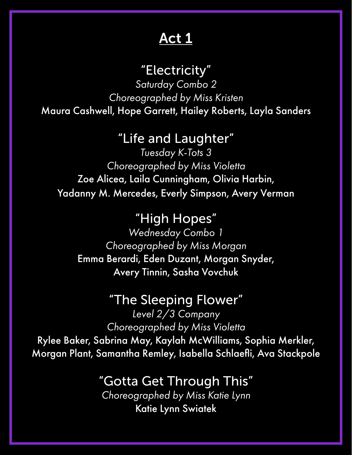### "Electricity"

*Saturday Combo 2 Choreographed by Miss Kristen* Maura Cashwell, Hope Garrett, Hailey Roberts, Layla Sanders

### "Life and Laughter"

*Tuesday K-Tots 3 Choreographed by Miss Violetta* Zoe Alicea, Laila Cunningham, Olivia Harbin, Yadanny M. Mercedes, Everly Simpson, Avery Verman

> "High Hopes" *Wednesday Combo 1 Choreographed by Miss Morgan*

Emma Berardi, Eden Duzant, Morgan Snyder, Avery Tinnin, Sasha Vovchuk

### "The Sleeping Flower"

*Level 2/3 Company Choreographed by Miss Violetta* Rylee Baker, Sabrina May, Kaylah McWilliams, Sophia Merkler, Morgan Plant, Samantha Remley, Isabella Schlaefli, Ava Stackpole

### "Gotta Get Through This"

*Choreographed by Miss Katie Lynn* Katie Lynn Swiatek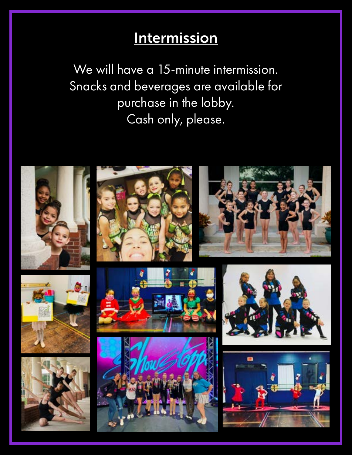# **Intermission**

We will have a 15-minute intermission. Snacks and beverages are available for purchase in the lobby. Cash only, please.

















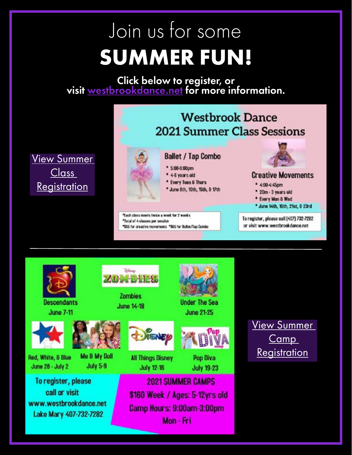# Join us for some **SUMMER FUN!**

[Click below to](http://www.westbrookdance.net) register, or<br>visit [westbrookdance.net](http://www.westbrookdance.net) for more information.

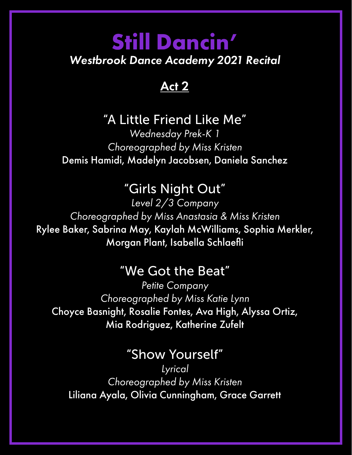# **Still Dancin'** *Westbrook Dance Academy 2021 Recital*

### Act 2

### "A Little Friend Like Me"

*Wednesday Prek-K 1 Choreographed by Miss Kristen* Demis Hamidi, Madelyn Jacobsen, Daniela Sanchez

### "Girls Night Out"

*Level 2/3 Company Choreographed by Miss Anastasia & Miss Kristen* Rylee Baker, Sabrina May, Kaylah McWilliams, Sophia Merkler, Morgan Plant, Isabella Schlaefli

### "We Got the Beat"

*Petite Company Choreographed by Miss Katie Lynn* Choyce Basnight, Rosalie Fontes, Ava High, Alyssa Ortiz, Mia Rodriguez, Katherine Zufelt

### "Show Yourself"

*Lyrical Choreographed by Miss Kristen* Liliana Ayala, Olivia Cunningham, Grace Garrett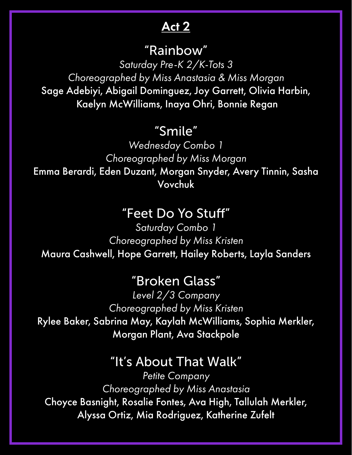# "Rainbow"

*Saturday Pre-K 2/K-Tots 3 Choreographed by Miss Anastasia & Miss Morgan* Sage Adebiyi, Abigail Dominguez, Joy Garrett, Olivia Harbin, Kaelyn McWilliams, Inaya Ohri, Bonnie Regan

### "Smile"

*Wednesday Combo 1 Choreographed by Miss Morgan* Emma Berardi, Eden Duzant, Morgan Snyder, Avery Tinnin, Sasha Vovchuk

### "Feet Do Yo Stuff"

*Saturday Combo 1 Choreographed by Miss Kristen* Maura Cashwell, Hope Garrett, Hailey Roberts, Layla Sanders

#### "Broken Glass"

*Level 2/3 Company Choreographed by Miss Kristen* Rylee Baker, Sabrina May, Kaylah McWilliams, Sophia Merkler, Morgan Plant, Ava Stackpole

### "It's About That Walk"

*Petite Company Choreographed by Miss Anastasia* Choyce Basnight, Rosalie Fontes, Ava High, Tallulah Merkler, Alyssa Ortiz, Mia Rodriguez, Katherine Zufelt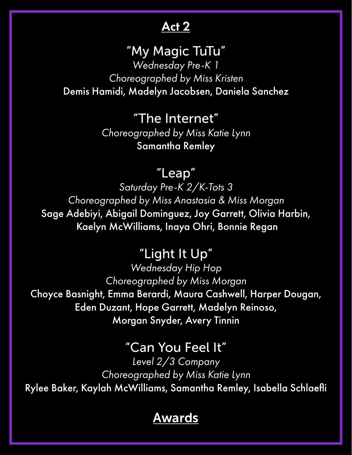### "My Magic TuTu"

*Wednesday Pre-K 1 Choreographed by Miss Kristen* Demis Hamidi, Madelyn Jacobsen, Daniela Sanchez

> "The Internet" *Choreographed by Miss Katie Lynn* Samantha Remley

### "Leap"

*Saturday Pre-K 2/K-Tots 3 Choreographed by Miss Anastasia & Miss Morgan* Sage Adebiyi, Abigail Dominguez, Joy Garrett, Olivia Harbin, Kaelyn McWilliams, Inaya Ohri, Bonnie Regan

### "Light It Up"

*Wednesday Hip Hop Choreographed by Miss Morgan* Choyce Basnight, Emma Berardi, Maura Cashwell, Harper Dougan, Eden Duzant, Hope Garrett, Madelyn Reinoso, Morgan Snyder, Avery Tinnin

### "Can You Feel It"

*Level 2/3 Company Choreographed by Miss Katie Lynn* Rylee Baker, Kaylah McWilliams, Samantha Remley, Isabella Schlaefli

### Awards